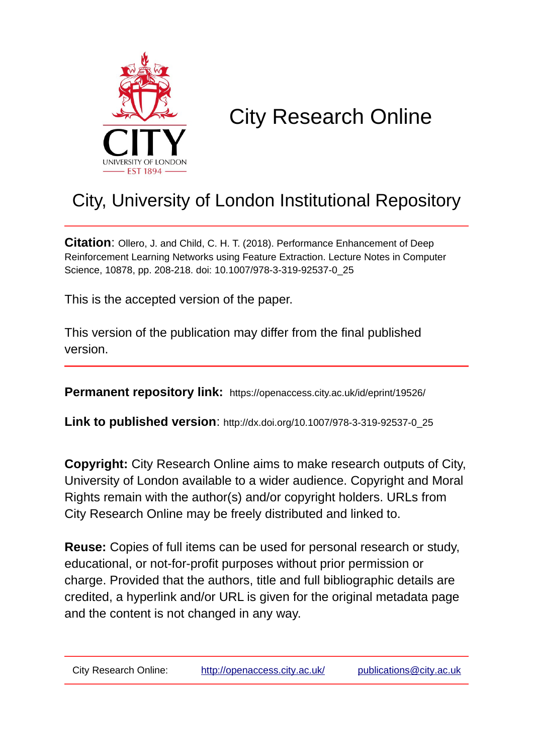

# City Research Online

## City, University of London Institutional Repository

**Citation**: Ollero, J. and Child, C. H. T. (2018). Performance Enhancement of Deep Reinforcement Learning Networks using Feature Extraction. Lecture Notes in Computer Science, 10878, pp. 208-218. doi: 10.1007/978-3-319-92537-0\_25

This is the accepted version of the paper.

This version of the publication may differ from the final published version.

**Permanent repository link:** https://openaccess.city.ac.uk/id/eprint/19526/

**Link to published version**: http://dx.doi.org/10.1007/978-3-319-92537-0\_25

**Copyright:** City Research Online aims to make research outputs of City, University of London available to a wider audience. Copyright and Moral Rights remain with the author(s) and/or copyright holders. URLs from City Research Online may be freely distributed and linked to.

**Reuse:** Copies of full items can be used for personal research or study, educational, or not-for-profit purposes without prior permission or charge. Provided that the authors, title and full bibliographic details are credited, a hyperlink and/or URL is given for the original metadata page and the content is not changed in any way.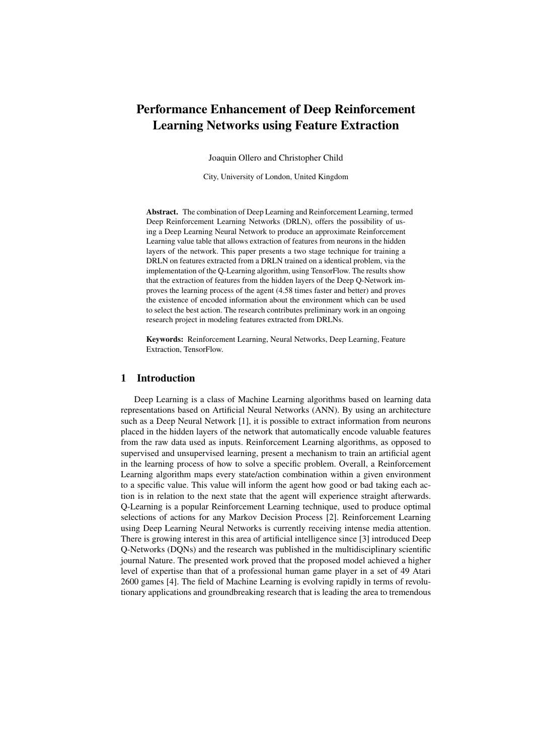### Performance Enhancement of Deep Reinforcement Learning Networks using Feature Extraction

Joaquin Ollero and Christopher Child

City, University of London, United Kingdom

Abstract. The combination of Deep Learning and Reinforcement Learning, termed Deep Reinforcement Learning Networks (DRLN), offers the possibility of using a Deep Learning Neural Network to produce an approximate Reinforcement Learning value table that allows extraction of features from neurons in the hidden layers of the network. This paper presents a two stage technique for training a DRLN on features extracted from a DRLN trained on a identical problem, via the implementation of the Q-Learning algorithm, using TensorFlow. The results show that the extraction of features from the hidden layers of the Deep Q-Network improves the learning process of the agent (4.58 times faster and better) and proves the existence of encoded information about the environment which can be used to select the best action. The research contributes preliminary work in an ongoing research project in modeling features extracted from DRLNs.

Keywords: Reinforcement Learning, Neural Networks, Deep Learning, Feature Extraction, TensorFlow.

#### 1 Introduction

Deep Learning is a class of Machine Learning algorithms based on learning data representations based on Artificial Neural Networks (ANN). By using an architecture such as a Deep Neural Network [1], it is possible to extract information from neurons placed in the hidden layers of the network that automatically encode valuable features from the raw data used as inputs. Reinforcement Learning algorithms, as opposed to supervised and unsupervised learning, present a mechanism to train an artificial agent in the learning process of how to solve a specific problem. Overall, a Reinforcement Learning algorithm maps every state/action combination within a given environment to a specific value. This value will inform the agent how good or bad taking each action is in relation to the next state that the agent will experience straight afterwards. Q-Learning is a popular Reinforcement Learning technique, used to produce optimal selections of actions for any Markov Decision Process [2]. Reinforcement Learning using Deep Learning Neural Networks is currently receiving intense media attention. There is growing interest in this area of artificial intelligence since [3] introduced Deep Q-Networks (DQNs) and the research was published in the multidisciplinary scientific journal Nature. The presented work proved that the proposed model achieved a higher level of expertise than that of a professional human game player in a set of 49 Atari 2600 games [4]. The field of Machine Learning is evolving rapidly in terms of revolutionary applications and groundbreaking research that is leading the area to tremendous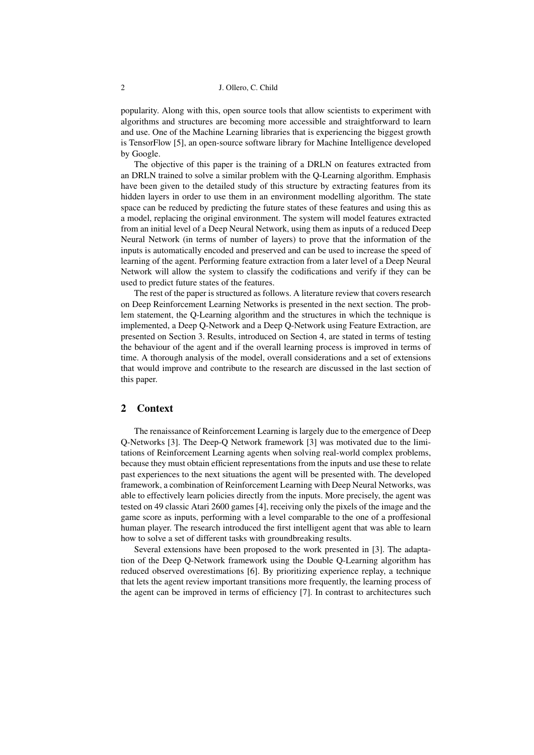popularity. Along with this, open source tools that allow scientists to experiment with algorithms and structures are becoming more accessible and straightforward to learn and use. One of the Machine Learning libraries that is experiencing the biggest growth is TensorFlow [5], an open-source software library for Machine Intelligence developed by Google.

The objective of this paper is the training of a DRLN on features extracted from an DRLN trained to solve a similar problem with the Q-Learning algorithm. Emphasis have been given to the detailed study of this structure by extracting features from its hidden layers in order to use them in an environment modelling algorithm. The state space can be reduced by predicting the future states of these features and using this as a model, replacing the original environment. The system will model features extracted from an initial level of a Deep Neural Network, using them as inputs of a reduced Deep Neural Network (in terms of number of layers) to prove that the information of the inputs is automatically encoded and preserved and can be used to increase the speed of learning of the agent. Performing feature extraction from a later level of a Deep Neural Network will allow the system to classify the codifications and verify if they can be used to predict future states of the features.

The rest of the paper is structured as follows. A literature review that covers research on Deep Reinforcement Learning Networks is presented in the next section. The problem statement, the Q-Learning algorithm and the structures in which the technique is implemented, a Deep Q-Network and a Deep Q-Network using Feature Extraction, are presented on Section 3. Results, introduced on Section 4, are stated in terms of testing the behaviour of the agent and if the overall learning process is improved in terms of time. A thorough analysis of the model, overall considerations and a set of extensions that would improve and contribute to the research are discussed in the last section of this paper.

#### 2 Context

The renaissance of Reinforcement Learning is largely due to the emergence of Deep Q-Networks [3]. The Deep-Q Network framework [3] was motivated due to the limitations of Reinforcement Learning agents when solving real-world complex problems, because they must obtain efficient representations from the inputs and use these to relate past experiences to the next situations the agent will be presented with. The developed framework, a combination of Reinforcement Learning with Deep Neural Networks, was able to effectively learn policies directly from the inputs. More precisely, the agent was tested on 49 classic Atari 2600 games [4], receiving only the pixels of the image and the game score as inputs, performing with a level comparable to the one of a proffesional human player. The research introduced the first intelligent agent that was able to learn how to solve a set of different tasks with groundbreaking results.

Several extensions have been proposed to the work presented in [3]. The adaptation of the Deep Q-Network framework using the Double Q-Learning algorithm has reduced observed overestimations [6]. By prioritizing experience replay, a technique that lets the agent review important transitions more frequently, the learning process of the agent can be improved in terms of efficiency [7]. In contrast to architectures such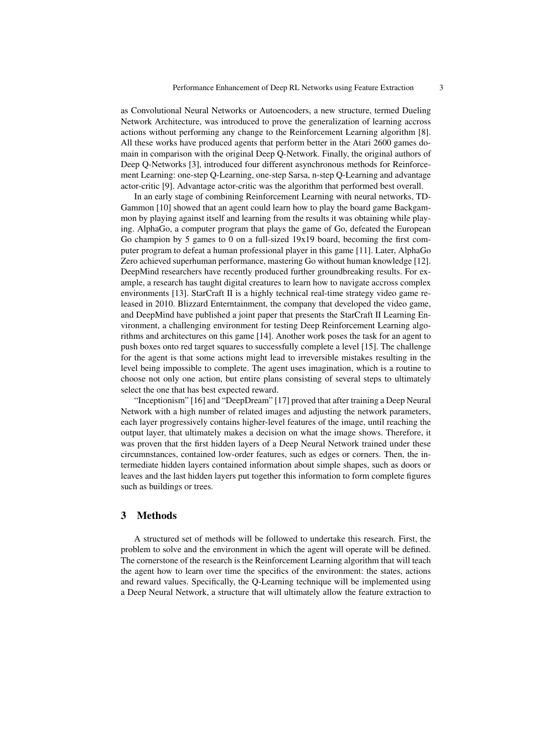as Convolutional Neural Networks or Autoencoders, a new structure, termed Dueling Network Architecture, was introduced to prove the generalization of learning accross actions without performing any change to the Reinforcement Learning algorithm [8]. All these works have produced agents that perform better in the Atari 2600 games domain in comparison with the original Deep Q-Network. Finally, the original authors of Deep Q-Networks [3], introduced four different asynchronous methods for Reinforcement Learning: one-step Q-Learning, one-step Sarsa, n-step Q-Learning and advantage actor-critic [9]. Advantage actor-critic was the algorithm that performed best overall.

In an early stage of combining Reinforcement Learning with neural networks, TD-Gammon [10] showed that an agent could learn how to play the board game Backgammon by playing against itself and learning from the results it was obtaining while playing. AlphaGo, a computer program that plays the game of Go, defeated the European Go champion by 5 games to 0 on a full-sized 19x19 board, becoming the first computer program to defeat a human professional player in this game [11]. Later, AlphaGo Zero achieved superhuman performance, mastering Go without human knowledge [12]. DeepMind researchers have recently produced further groundbreaking results. For example, a research has taught digital creatures to learn how to navigate accross complex environments [13]. StarCraft II is a highly technical real-time strategy video game released in 2010. Blizzard Enterntainment, the company that developed the video game, and DeepMind have published a joint paper that presents the StarCraft II Learning Environment, a challenging environment for testing Deep Reinforcement Learning algorithms and architectures on this game [14]. Another work poses the task for an agent to push boxes onto red target squares to successfully complete a level [15]. The challenge for the agent is that some actions might lead to irreversible mistakes resulting in the level being impossible to complete. The agent uses imagination, which is a routine to choose not only one action, but entire plans consisting of several steps to ultimately select the one that has best expected reward.

"Inceptionism" [16] and "DeepDream" [17] proved that after training a Deep Neural Network with a high number of related images and adjusting the network parameters, each layer progressively contains higher-level features of the image, until reaching the output layer, that ultimately makes a decision on what the image shows. Therefore, it was proven that the first hidden layers of a Deep Neural Network trained under these circumnstances, contained low-order features, such as edges or corners. Then, the intermediate hidden layers contained information about simple shapes, such as doors or leaves and the last hidden layers put together this information to form complete figures such as buildings or trees.

#### 3 Methods

A structured set of methods will be followed to undertake this research. First, the problem to solve and the environment in which the agent will operate will be defined. The cornerstone of the research is the Reinforcement Learning algorithm that will teach the agent how to learn over time the specifics of the environment: the states, actions and reward values. Specifically, the Q-Learning technique will be implemented using a Deep Neural Network, a structure that will ultimately allow the feature extraction to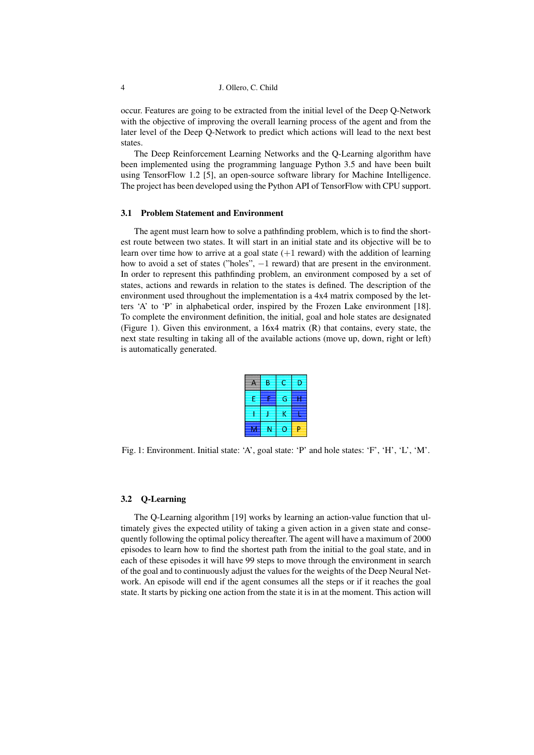occur. Features are going to be extracted from the initial level of the Deep Q-Network with the objective of improving the overall learning process of the agent and from the later level of the Deep Q-Network to predict which actions will lead to the next best states.

The Deep Reinforcement Learning Networks and the Q-Learning algorithm have been implemented using the programming language Python 3.5 and have been built using TensorFlow 1.2 [5], an open-source software library for Machine Intelligence. The project has been developed using the Python API of TensorFlow with CPU support.

#### 3.1 Problem Statement and Environment

The agent must learn how to solve a pathfinding problem, which is to find the shortest route between two states. It will start in an initial state and its objective will be to learn over time how to arrive at a goal state  $(+1$  reward) with the addition of learning how to avoid a set of states ("holes", −1 reward) that are present in the environment. In order to represent this pathfinding problem, an environment composed by a set of states, actions and rewards in relation to the states is defined. The description of the environment used throughout the implementation is a 4x4 matrix composed by the letters 'A' to 'P' in alphabetical order, inspired by the Frozen Lake environment [18]. To complete the environment definition, the initial, goal and hole states are designated (Figure 1). Given this environment, a 16x4 matrix (R) that contains, every state, the next state resulting in taking all of the available actions (move up, down, right or left) is automatically generated.

|   | B |   | Э |
|---|---|---|---|
| F |   | G |   |
|   |   | ٩ |   |
|   |   |   |   |

Fig. 1: Environment. Initial state: 'A', goal state: 'P' and hole states: 'F', 'H', 'L', 'M'.

#### 3.2 Q-Learning

The Q-Learning algorithm [19] works by learning an action-value function that ultimately gives the expected utility of taking a given action in a given state and consequently following the optimal policy thereafter. The agent will have a maximum of 2000 episodes to learn how to find the shortest path from the initial to the goal state, and in each of these episodes it will have 99 steps to move through the environment in search of the goal and to continuously adjust the values for the weights of the Deep Neural Network. An episode will end if the agent consumes all the steps or if it reaches the goal state. It starts by picking one action from the state it is in at the moment. This action will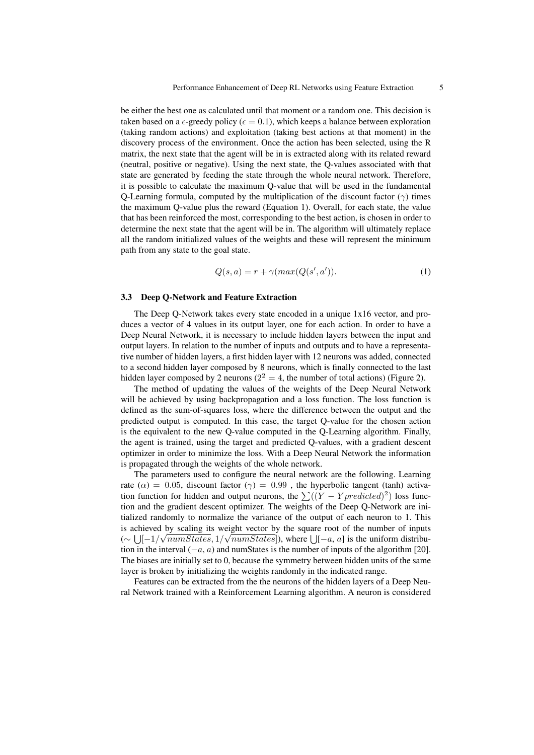be either the best one as calculated until that moment or a random one. This decision is taken based on a  $\epsilon$ -greedy policy ( $\epsilon = 0.1$ ), which keeps a balance between exploration (taking random actions) and exploitation (taking best actions at that moment) in the discovery process of the environment. Once the action has been selected, using the R matrix, the next state that the agent will be in is extracted along with its related reward (neutral, positive or negative). Using the next state, the Q-values associated with that state are generated by feeding the state through the whole neural network. Therefore, it is possible to calculate the maximum Q-value that will be used in the fundamental Q-Learning formula, computed by the multiplication of the discount factor ( $\gamma$ ) times the maximum Q-value plus the reward (Equation 1). Overall, for each state, the value that has been reinforced the most, corresponding to the best action, is chosen in order to determine the next state that the agent will be in. The algorithm will ultimately replace all the random initialized values of the weights and these will represent the minimum path from any state to the goal state.

$$
Q(s, a) = r + \gamma(max(Q(s', a')).
$$
\n(1)

#### 3.3 Deep Q-Network and Feature Extraction

The Deep Q-Network takes every state encoded in a unique 1x16 vector, and produces a vector of 4 values in its output layer, one for each action. In order to have a Deep Neural Network, it is necessary to include hidden layers between the input and output layers. In relation to the number of inputs and outputs and to have a representative number of hidden layers, a first hidden layer with 12 neurons was added, connected to a second hidden layer composed by 8 neurons, which is finally connected to the last hidden layer composed by 2 neurons ( $2^2 = 4$ , the number of total actions) (Figure 2).

The method of updating the values of the weights of the Deep Neural Network will be achieved by using backpropagation and a loss function. The loss function is defined as the sum-of-squares loss, where the difference between the output and the predicted output is computed. In this case, the target Q-value for the chosen action is the equivalent to the new Q-value computed in the Q-Learning algorithm. Finally, the agent is trained, using the target and predicted Q-values, with a gradient descent optimizer in order to minimize the loss. With a Deep Neural Network the information is propagated through the weights of the whole network.

The parameters used to configure the neural network are the following. Learning rate ( $\alpha$ ) = 0.05, discount factor ( $\gamma$ ) = 0.99, the hyperbolic tangent (tanh) activation function for hidden and output neurons, the  $\sum((Y - Y predicted)^2)$  loss function and the gradient descent optimizer. The weights of the Deep Q-Network are initialized randomly to normalize the variance of the output of each neuron to 1. This is achieved by scaling its weight vector by the square root of the number of inputs (~  $\bigcup [-1/\sqrt{numStates}, 1/\sqrt{numStates}]$ ), where  $\bigcup [-a, a]$  is the uniform distribution in the interval  $(-a, a)$  and numStates is the number of inputs of the algorithm [20]. The biases are initially set to 0, because the symmetry between hidden units of the same layer is broken by initializing the weights randomly in the indicated range.

Features can be extracted from the the neurons of the hidden layers of a Deep Neural Network trained with a Reinforcement Learning algorithm. A neuron is considered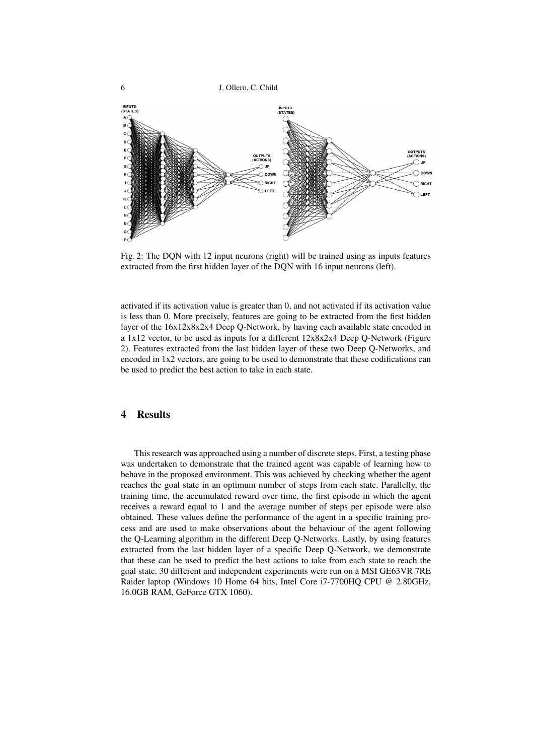

Fig. 2: The DQN with 12 input neurons (right) will be trained using as inputs features extracted from the first hidden layer of the DQN with 16 input neurons (left).

activated if its activation value is greater than 0, and not activated if its activation value is less than 0. More precisely, features are going to be extracted from the first hidden layer of the 16x12x8x2x4 Deep Q-Network, by having each available state encoded in a 1x12 vector, to be used as inputs for a different 12x8x2x4 Deep Q-Network (Figure 2). Features extracted from the last hidden layer of these two Deep Q-Networks, and encoded in 1x2 vectors, are going to be used to demonstrate that these codifications can be used to predict the best action to take in each state.

#### 4 Results

This research was approached using a number of discrete steps. First, a testing phase was undertaken to demonstrate that the trained agent was capable of learning how to behave in the proposed environment. This was achieved by checking whether the agent reaches the goal state in an optimum number of steps from each state. Parallelly, the training time, the accumulated reward over time, the first episode in which the agent receives a reward equal to 1 and the average number of steps per episode were also obtained. These values define the performance of the agent in a specific training process and are used to make observations about the behaviour of the agent following the Q-Learning algorithm in the different Deep Q-Networks. Lastly, by using features extracted from the last hidden layer of a specific Deep Q-Network, we demonstrate that these can be used to predict the best actions to take from each state to reach the goal state. 30 different and independent experiments were run on a MSI GE63VR 7RE Raider laptop (Windows 10 Home 64 bits, Intel Core i7-7700HQ CPU @ 2.80GHz, 16.0GB RAM, GeForce GTX 1060).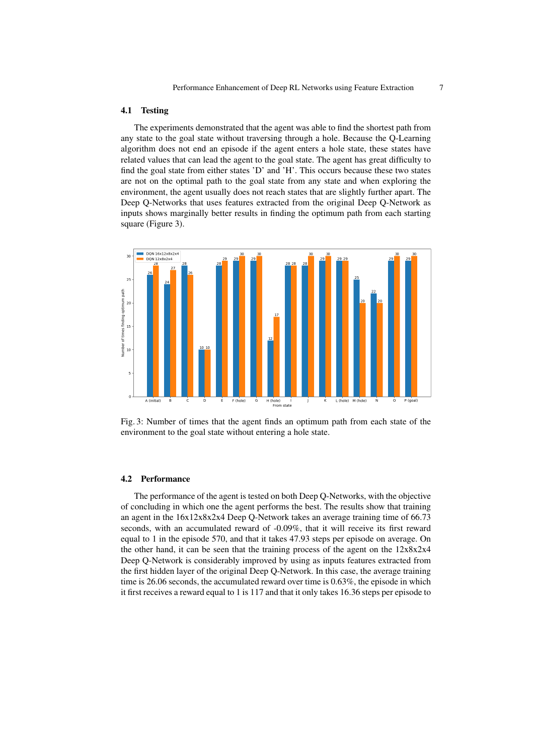#### 4.1 Testing

The experiments demonstrated that the agent was able to find the shortest path from any state to the goal state without traversing through a hole. Because the Q-Learning algorithm does not end an episode if the agent enters a hole state, these states have related values that can lead the agent to the goal state. The agent has great difficulty to find the goal state from either states 'D' and 'H'. This occurs because these two states are not on the optimal path to the goal state from any state and when exploring the environment, the agent usually does not reach states that are slightly further apart. The Deep Q-Networks that uses features extracted from the original Deep Q-Network as inputs shows marginally better results in finding the optimum path from each starting square (Figure 3).



Fig. 3: Number of times that the agent finds an optimum path from each state of the environment to the goal state without entering a hole state.

#### 4.2 Performance

The performance of the agent is tested on both Deep Q-Networks, with the objective of concluding in which one the agent performs the best. The results show that training an agent in the 16x12x8x2x4 Deep Q-Network takes an average training time of 66.73 seconds, with an accumulated reward of -0.09%, that it will receive its first reward equal to 1 in the episode 570, and that it takes 47.93 steps per episode on average. On the other hand, it can be seen that the training process of the agent on the 12x8x2x4 Deep Q-Network is considerably improved by using as inputs features extracted from the first hidden layer of the original Deep Q-Network. In this case, the average training time is 26.06 seconds, the accumulated reward over time is 0.63%, the episode in which it first receives a reward equal to 1 is 117 and that it only takes 16.36 steps per episode to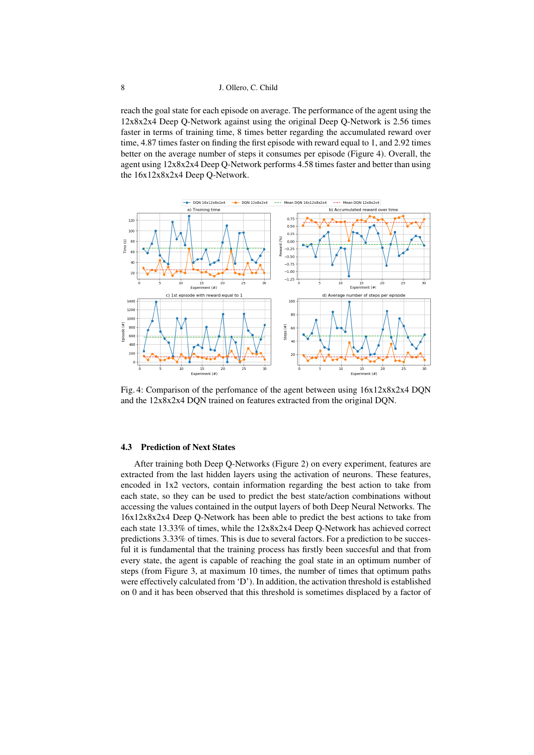reach the goal state for each episode on average. The performance of the agent using the 12x8x2x4 Deep Q-Network against using the original Deep Q-Network is 2.56 times faster in terms of training time, 8 times better regarding the accumulated reward over time, 4.87 times faster on finding the first episode with reward equal to 1, and 2.92 times better on the average number of steps it consumes per episode (Figure 4). Overall, the agent using 12x8x2x4 Deep Q-Network performs 4.58 times faster and better than using the 16x12x8x2x4 Deep Q-Network.



Fig. 4: Comparison of the perfomance of the agent between using  $16x12x8x2x4$  DON and the 12x8x2x4 DQN trained on features extracted from the original DQN.

#### 4.3 Prediction of Next States

After training both Deep Q-Networks (Figure 2) on every experiment, features are extracted from the last hidden layers using the activation of neurons. These features, encoded in 1x2 vectors, contain information regarding the best action to take from each state, so they can be used to predict the best state/action combinations without accessing the values contained in the output layers of both Deep Neural Networks. The 16x12x8x2x4 Deep Q-Network has been able to predict the best actions to take from each state 13.33% of times, while the 12x8x2x4 Deep Q-Network has achieved correct predictions 3.33% of times. This is due to several factors. For a prediction to be succesful it is fundamental that the training process has firstly been succesful and that from every state, the agent is capable of reaching the goal state in an optimum number of steps (from Figure 3, at maximum 10 times, the number of times that optimum paths were effectively calculated from 'D'). In addition, the activation threshold is established on 0 and it has been observed that this threshold is sometimes displaced by a factor of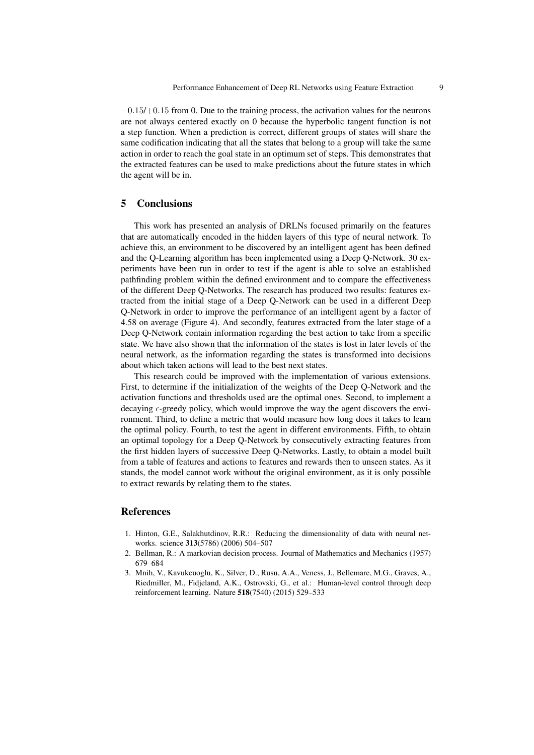$-0.15/0.15$  from 0. Due to the training process, the activation values for the neurons are not always centered exactly on 0 because the hyperbolic tangent function is not a step function. When a prediction is correct, different groups of states will share the same codification indicating that all the states that belong to a group will take the same action in order to reach the goal state in an optimum set of steps. This demonstrates that the extracted features can be used to make predictions about the future states in which the agent will be in.

#### 5 Conclusions

This work has presented an analysis of DRLNs focused primarily on the features that are automatically encoded in the hidden layers of this type of neural network. To achieve this, an environment to be discovered by an intelligent agent has been defined and the Q-Learning algorithm has been implemented using a Deep Q-Network. 30 experiments have been run in order to test if the agent is able to solve an established pathfinding problem within the defined environment and to compare the effectiveness of the different Deep Q-Networks. The research has produced two results: features extracted from the initial stage of a Deep Q-Network can be used in a different Deep Q-Network in order to improve the performance of an intelligent agent by a factor of 4.58 on average (Figure 4). And secondly, features extracted from the later stage of a Deep Q-Network contain information regarding the best action to take from a specific state. We have also shown that the information of the states is lost in later levels of the neural network, as the information regarding the states is transformed into decisions about which taken actions will lead to the best next states.

This research could be improved with the implementation of various extensions. First, to determine if the initialization of the weights of the Deep Q-Network and the activation functions and thresholds used are the optimal ones. Second, to implement a decaying  $\epsilon$ -greedy policy, which would improve the way the agent discovers the environment. Third, to define a metric that would measure how long does it takes to learn the optimal policy. Fourth, to test the agent in different environments. Fifth, to obtain an optimal topology for a Deep Q-Network by consecutively extracting features from the first hidden layers of successive Deep Q-Networks. Lastly, to obtain a model built from a table of features and actions to features and rewards then to unseen states. As it stands, the model cannot work without the original environment, as it is only possible to extract rewards by relating them to the states.

#### References

- 1. Hinton, G.E., Salakhutdinov, R.R.: Reducing the dimensionality of data with neural networks. science 313(5786) (2006) 504–507
- 2. Bellman, R.: A markovian decision process. Journal of Mathematics and Mechanics (1957) 679–684
- 3. Mnih, V., Kavukcuoglu, K., Silver, D., Rusu, A.A., Veness, J., Bellemare, M.G., Graves, A., Riedmiller, M., Fidjeland, A.K., Ostrovski, G., et al.: Human-level control through deep reinforcement learning. Nature 518(7540) (2015) 529–533